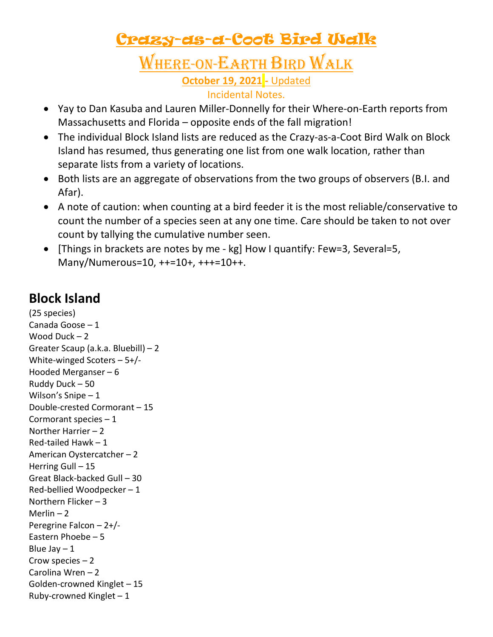# Crazy-as-a-Coot Bird Walk

## Where-on-Earth Bird Walk **October 19, 2021 -** Updated Incidental Notes.

- Yay to Dan Kasuba and Lauren Miller-Donnelly for their Where-on-Earth reports from Massachusetts and Florida – opposite ends of the fall migration!
- The individual Block Island lists are reduced as the Crazy-as-a-Coot Bird Walk on Block Island has resumed, thus generating one list from one walk location, rather than separate lists from a variety of locations.
- Both lists are an aggregate of observations from the two groups of observers (B.I. and Afar).
- A note of caution: when counting at a bird feeder it is the most reliable/conservative to count the number of a species seen at any one time. Care should be taken to not over count by tallying the cumulative number seen.
- [Things in brackets are notes by me kg] How I quantify: Few=3, Several=5, Many/Numerous=10, ++=10+, +++=10++.

## **Block Island**

(25 species) Canada Goose – 1 Wood Duck – 2 Greater Scaup (a.k.a. Bluebill) – 2 White-winged Scoters – 5+/- Hooded Merganser – 6 Ruddy Duck – 50 Wilson's Snipe – 1 Double-crested Cormorant – 15 Cormorant species – 1 Norther Harrier – 2 Red-tailed Hawk – 1 American Oystercatcher – 2 Herring Gull - 15 Great Black-backed Gull – 30 Red-bellied Woodpecker – 1 Northern Flicker – 3 Merlin  $-2$ Peregrine Falcon – 2+/- Eastern Phoebe – 5 Blue Jay  $-1$ Crow species – 2 Carolina Wren – 2 Golden-crowned Kinglet – 15 Ruby-crowned Kinglet  $-1$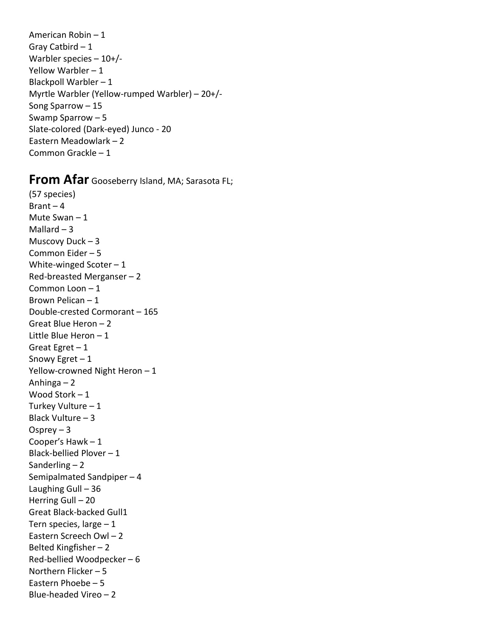American Robin – 1 Gray Catbird – 1 Warbler species – 10+/- Yellow Warbler – 1 Blackpoll Warbler – 1 Myrtle Warbler (Yellow-rumped Warbler) – 20+/- Song Sparrow – 15 Swamp Sparrow – 5 Slate-colored (Dark-eyed) Junco - 20 Eastern Meadowlark – 2 Common Grackle – 1

### **From Afar** Gooseberry Island, MA; Sarasota FL;

(57 species)  $Branch - 4$ Mute Swan – 1 Mallard  $-3$ Muscovy Duck – 3 Common Eider – 5 White-winged Scoter  $-1$ Red-breasted Merganser – 2 Common Loon – 1 Brown Pelican – 1 Double-crested Cormorant – 165 Great Blue Heron – 2 Little Blue Heron – 1 Great Egret – 1 Snowy Egret – 1 Yellow-crowned Night Heron - 1 Anhinga – 2 Wood Stork – 1 Turkey Vulture – 1 Black Vulture – 3 Osprey  $-3$ Cooper's Hawk – 1 Black-bellied Plover – 1 Sanderling  $-2$ Semipalmated Sandpiper – 4 Laughing Gull – 36 Herring Gull – 20 Great Black-backed Gull1 Tern species, large  $-1$ Eastern Screech Owl – 2 Belted Kingfisher – 2 Red-bellied Woodpecker – 6 Northern Flicker – 5 Eastern Phoebe – 5 Blue-headed Vireo – 2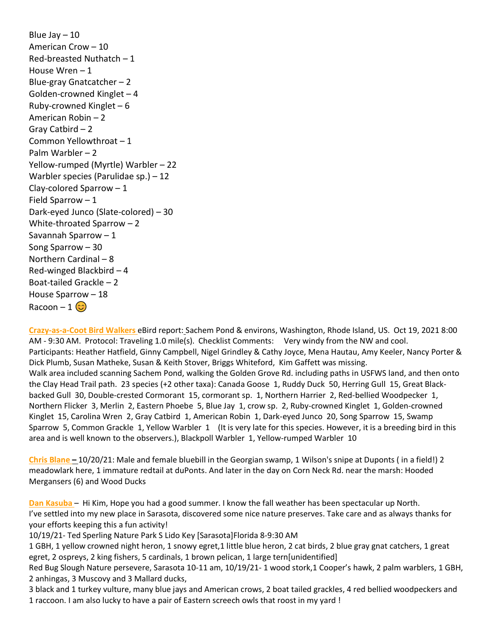Blue Jay  $-10$ American Crow – 10 Red-breasted Nuthatch – 1 House Wren – 1 Blue-gray Gnatcatcher – 2 Golden-crowned Kinglet – 4 Ruby-crowned Kinglet – 6 American Robin – 2 Gray Catbird – 2 Common Yellowthroat – 1 Palm Warbler – 2 Yellow-rumped (Myrtle) Warbler – 22 Warbler species (Parulidae sp.) – 12 Clay-colored Sparrow – 1 Field Sparrow – 1 Dark-eyed Junco (Slate-colored) – 30 White-throated Sparrow – 2 Savannah Sparrow – 1 Song Sparrow – 30 Northern Cardinal – 8 Red-winged Blackbird – 4 Boat-tailed Grackle – 2 House Sparrow – 18 Racoon – 1 $\circledcirc$ 

**Crazy-as-a-Coot Bird Walkers** eBird report: Sachem Pond & environs, Washington, Rhode Island, US. Oct 19, 2021 8:00 AM - 9:30 AM. Protocol: Traveling 1.0 mile(s). Checklist Comments: Very windy from the NW and cool. Participants: Heather Hatfield, Ginny Campbell, Nigel Grindley & Cathy Joyce, Mena Hautau, Amy Keeler, Nancy Porter & Dick Plumb, Susan Matheke, Susan & Keith Stover, Briggs Whiteford, Kim Gaffett was missing. Walk area included scanning Sachem Pond, walking the Golden Grove Rd. including paths in USFWS land, and then onto the Clay Head Trail path. 23 species (+2 other taxa): Canada Goose 1, Ruddy Duck 50, Herring Gull 15, Great Blackbacked Gull 30, Double-crested Cormorant 15, cormorant sp. 1, Northern Harrier 2, Red-bellied Woodpecker 1, Northern Flicker 3, Merlin 2, Eastern Phoebe 5, Blue Jay 1, crow sp. 2, Ruby-crowned Kinglet 1, Golden-crowned Kinglet 15, Carolina Wren 2, Gray Catbird 1, American Robin 1, Dark-eyed Junco 20, Song Sparrow 15, Swamp Sparrow 5, Common Grackle 1, Yellow Warbler 1 (It is very late for this species. However, it is a breeding bird in this area and is well known to the observers.), Blackpoll Warbler 1, Yellow-rumped Warbler 10

**Chris Blane –** 10/20/21: Male and female bluebill in the Georgian swamp, 1 Wilson's snipe at Duponts ( in a field!) 2 meadowlark here, 1 immature redtail at duPonts. And later in the day on Corn Neck Rd. near the marsh: Hooded Mergansers (6) and Wood Ducks

**Dan Kasuba** – Hi Kim, Hope you had a good summer. I know the fall weather has been spectacular up North. I've settled into my new place in Sarasota, discovered some nice nature preserves. Take care and as always thanks for your efforts keeping this a fun activity!

10/19/21- Ted Sperling Nature Park S Lido Key [Sarasota]Florida 8-9:30 AM

1 GBH, 1 yellow crowned night heron, 1 snowy egret,1 little blue heron, 2 cat birds, 2 blue gray gnat catchers, 1 great egret, 2 ospreys, 2 king fishers, 5 cardinals, 1 brown pelican, 1 large tern[unidentified]

Red Bug Slough Nature persevere, Sarasota 10-11 am, 10/19/21- 1 wood stork,1 Cooper's hawk, 2 palm warblers, 1 GBH, 2 anhingas, 3 Muscovy and 3 Mallard ducks,

3 black and 1 turkey vulture, many blue jays and American crows, 2 boat tailed grackles, 4 red bellied woodpeckers and 1 raccoon. I am also lucky to have a pair of Eastern screech owls that roost in my yard !